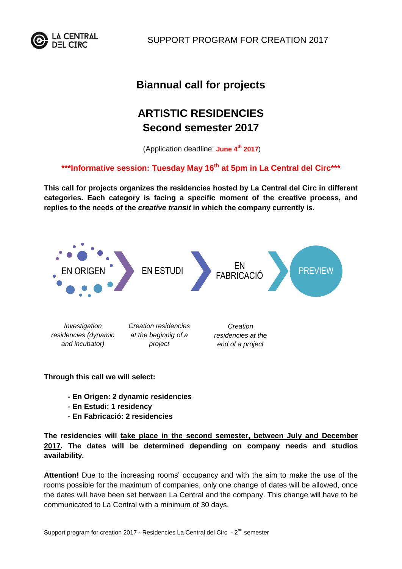

SUPPORT PROGRAM FOR CREATION 2017

## **Biannual call for projects**

# **ARTISTIC RESIDENCIES Second semester 2017**

(Application deadline: **June 4th 2017**)

### **\*\*\*Informative session: Tuesday May 16th at 5pm in La Central del Circ\*\*\***

**This call for projects organizes the residencies hosted by La Central del Circ in different categories. Each category is facing a specific moment of the creative process, and replies to the needs of the** *creative transit* **in which the company currently is.**



**Through this call we will select:**

- **- En Origen: 2 dynamic residencies**
- **- En Estudi: 1 residency**
- **- En Fabricació: 2 residencies**

**The residencies will take place in the second semester, between July and December 2017. The dates will be determined depending on company needs and studios availability.**

**Attention!** Due to the increasing rooms' occupancy and with the aim to make the use of the rooms possible for the maximum of companies, only one change of dates will be allowed, once the dates will have been set between La Central and the company. This change will have to be communicated to La Central with a minimum of 30 days.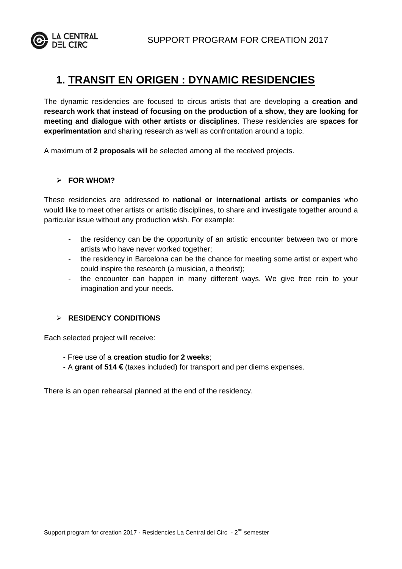

### **1. TRANSIT EN ORIGEN : DYNAMIC RESIDENCIES**

The dynamic residencies are focused to circus artists that are developing a **creation and research work that instead of focusing on the production of a show, they are looking for meeting and dialogue with other artists or disciplines**. These residencies are **spaces for experimentation** and sharing research as well as confrontation around a topic.

A maximum of **2 proposals** will be selected among all the received projects.

#### **FOR WHOM?**

These residencies are addressed to **national or international artists or companies** who would like to meet other artists or artistic disciplines, to share and investigate together around a particular issue without any production wish. For example:

- the residency can be the opportunity of an artistic encounter between two or more artists who have never worked together;
- the residency in Barcelona can be the chance for meeting some artist or expert who could inspire the research (a musician, a theorist);
- the encounter can happen in many different ways. We give free rein to your imagination and your needs.

#### **RESIDENCY CONDITIONS**

Each selected project will receive:

- Free use of a **creation studio for 2 weeks**;
- A **grant of 514 €** (taxes included) for transport and per diems expenses.

There is an open rehearsal planned at the end of the residency.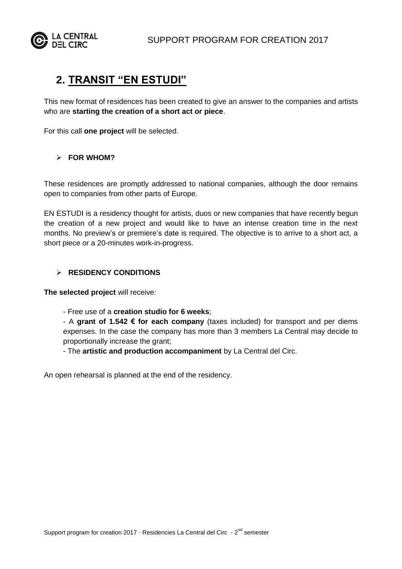

### **2. TRANSIT "EN ESTUDI"**

This new format of residences has been created to give an answer to the companies and artists who are **starting the creation of a short act or piece**.

For this call **one project** will be selected.

#### **FOR WHOM?**

These residences are promptly addressed to national companies, although the door remains open to companies from other parts of Europe.

EN ESTUDI is a residency thought for artists, duos or new companies that have recently begun the creation of a new project and would like to have an intense creation time in the next months. No preview's or premiere's date is required. The objective is to arrive to a short act, a short piece or a 20-minutes work-in-progress.

#### **RESIDENCY CONDITIONS**

**The selected project** will receive:

- Free use of a **creation studio for 6 weeks**;

- A **grant of 1.542 € for each company** (taxes included) for transport and per diems expenses. In the case the company has more than 3 members La Central may decide to proportionally increase the grant;

- The **artistic and production accompaniment** by La Central del Circ.

An open rehearsal is planned at the end of the residency.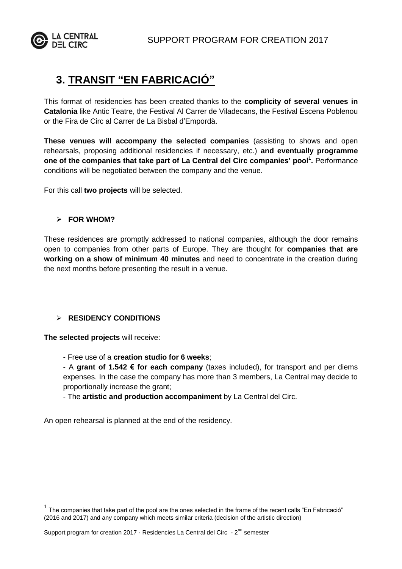



## **3. TRANSIT "EN FABRICACIÓ"**

This format of residencies has been created thanks to the **complicity of several venues in Catalonia** like Antic Teatre, the Festival Al Carrer de Viladecans, the Festival Escena Poblenou or the Fira de Circ al Carrer de La Bisbal d'Empordà.

**These venues will accompany the selected companies** (assisting to shows and open rehearsals, proposing additional residencies if necessary, etc.) **and eventually programme one of the companies that take part of La Central del Circ companies' pool<sup>1</sup> .** Performance conditions will be negotiated between the company and the venue.

For this call **two projects** will be selected.

#### **FOR WHOM?**

These residences are promptly addressed to national companies, although the door remains open to companies from other parts of Europe. They are thought for **companies that are working on a show of minimum 40 minutes** and need to concentrate in the creation during the next months before presenting the result in a venue.

#### **RESIDENCY CONDITIONS**

**The selected projects** will receive:

 $\overline{a}$ 

- Free use of a **creation studio for 6 weeks**;

- A **grant of 1.542 € for each company** (taxes included), for transport and per diems expenses. In the case the company has more than 3 members, La Central may decide to proportionally increase the grant;

- The **artistic and production accompaniment** by La Central del Circ.

An open rehearsal is planned at the end of the residency.

<sup>1</sup> The companies that take part of the pool are the ones selected in the frame of the recent calls "En Fabricació" (2016 and 2017) and any company which meets similar criteria (decision of the artistic direction)